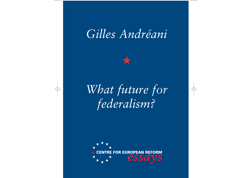# *Gilles Andréani*

★

# *What future for federalism?*

 $\bigoplus$ 

 $\Rightarrow$ 

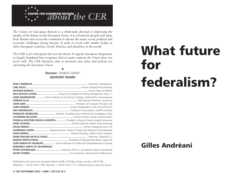

*The Centre for European Reform is a think-tank devoted to improving the quality of the debate on the European Union. It is a forum for people with ideas from Britain and across the contintent to discuss the many social, political and economic challenges facing Europe. It seeks to work with similar bodies in other European countries, North America and elsewhere in the world.*

*The CER is pro-European but not uncritical. It regards European integration as largely beneficial but recognises that in many respects the Union does not work well. The CER therefore aims to promote new ideas and policies for reforming the European Union.*

> ★ **Director:** CHARLES GRANT **ADVISORY BOARD**

|                                      | NICK BUTLER (CHAIR) Group Vice President for Policy Development, BP p.l.c.        |
|--------------------------------------|-----------------------------------------------------------------------------------|
|                                      | LORD DAHRENDORF  Former Warden of St Antony's College, Oxford & EU Commissioner   |
|                                      |                                                                                   |
|                                      |                                                                                   |
|                                      |                                                                                   |
|                                      |                                                                                   |
|                                      | FRANÇOIS HEISBOURG Director, Fondation pour la Recherche Stratégique, Paris       |
|                                      |                                                                                   |
|                                      | FIORELLA KOSTORIS PADOA SCHIOPPA President, Istituto di Studi e Analisi Economica |
|                                      |                                                                                   |
|                                      |                                                                                   |
|                                      | DOMINIQUE MOÏSI Deputy Director, Instituit Français des Relations Internationales |
|                                      |                                                                                   |
|                                      |                                                                                   |
|                                      |                                                                                   |
|                                      | LORD SIMON OF HIGHBURY Former Minister for Trade and Competitiveness in Europe    |
| <b>BARONESS SMITH OF GILMOREHILL</b> |                                                                                   |
|                                      |                                                                                   |
|                                      |                                                                                   |

Published by the Centre for European Reform (CER), 29 Tufton Street, London, SW1P 3QL Telephone + 44 20 7233 1199, Facsimile + 44 20 7233 1117, info@cer.org.uk, www.cer.org.uk

# What future for federalism?

# Gilles Andréani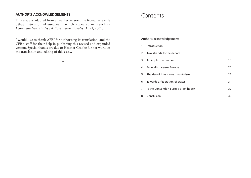#### **AUTHOR'S ACKNOWLEDGEMENTS**

This essay is adapted from an earlier version, 'Le fédéralisme et le débat institutionnel européen', which appeared in French in *L'annuaire français des relations internationales*, AFRI, 2001.

I would like to thank AFRI for authorising its translation, and the CER's staff for their help in publishing this revised and expanded version. Special thanks are due to Heather Grabbe for her work on the translation and editing of this essay.

★

## **Contents**

Author's acknowledgements

|                | 1 Introduction                        | 1  |
|----------------|---------------------------------------|----|
|                | 2 Two strands to the debate           | 5  |
|                | 3 An implicit federation              | 13 |
| 4              | Federalism versus Europe              | 21 |
|                | 5 The rise of inter-governmentalism   | 27 |
|                | 6 Towards a federation of states      | 31 |
| $\overline{7}$ | Is the Convention Europe's last hope? | 37 |
| 8              | Conclusion                            | 43 |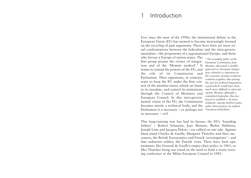# 1 Introduction

Ever since the start of the 1990s, the institutional debate in the European Union (EU) has seemed to become increasingly focused on the recycling of past arguments*.* There have been yet more ritual confrontations between the federalists and the inter-governmentalists – the proponents of a supranational Europe, and those

who favour a Europe of nation-states. The first group praises the virtues of integration and of the 'Monnet method'.<sup>1</sup> It *Monnet, advocated a stealthy* wants to extend the powers of the EU, and the role of its Commission and Parliament. Their opponents, in contrast, want to keep the EU under the firm control of the member-states, which set limits *a goal which would have been* to its mandate, and control its institutions *much more difficult to advocate* through the Council of Ministers and European Council. In this inter-governmental vision of the EU, the Commission becomes merely a technical body, and the *rather than propose an explicit* Parliament is a necessary – or perhaps not so necessary – evil.

*<sup>1</sup> The founding father of the European Community, Jean approach to European integration, whereby co-operation in the economic domain would tie countries together, thus paving the way for political integration, openly. Monnet, although a committed federalist, thus preferred to establish a 'de facto solidarity' among member-states, 'European federalism'.*

This long-running war has had its heroes: the EU's 'founding fathers' – Robert Schuman, Jean Monnet, Walter Hallstein, Joseph Luns and Jacques Delors – are rallied on one side. Against them stand Charles de Gaulle, Margaret Thatcher and their successors, the British Eurosceptics and French 'sovereigntists' – and that unknown soldier, the Danish voter. There have been epic moments, like General de Gaulle's empty-chair policy in 1965, or Mrs Thatcher being out-voted on the need to hold a treaty-revising conference at the Milan European Council in 1985.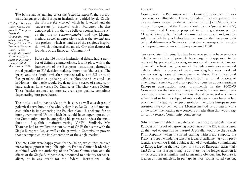The battle has its rallying cries: the *'volapük integré'*, the bureaucratic language of the European institutions, derided by de Gaulle;

*<sup>2</sup> Today's 'European Union' has evolved from the 'European Economic Community' established by the 1957 Treaty of Rome. The Treaty on European Union – which brought the current institutional construction into being – was signed at Maastricht in 1992.*

the *'Europe des nations'* which he favoured and the 'super-state in Brussels' which Margaret Thatcher denounced. From the true believers comes jargon such as the *'acquis communautaire'* and the Monnet method, as well as expressions such as the *'finalité'* and 'the project', which remind us of the religious inspiration which influenced the mostly Christian democratic founders of the European Community.2

Before the 1990s, the institutional debate had a number of defining characteristics. It took place within the framework of the European institutions, through a ritual peculiar to EU decision-making, known as 'the crisis'. The

'pros' and the 'antis' (whether anti-federalist, anti-EU or anti-European) would take up their positions, blow their horns and – as in Homer – the battle would break up into a series of single combats, such as Luns versus De Gaulle, or Thatcher versus Delors. These battles assumed an intense, even epic quality, sometimes degenerating into pure hatred.

The 'antis' used to have style on their side, as well as a degree of polemical verve but, on the whole, they lost. De Gaulle did not succeed either in implementing the Fouchet plan – his scheme for an inter-governmental Union which he would have superimposed on the Community – nor in compelling his partners to reject the introduction of qualified majority voting (QMV). Similarly, Mrs Thatcher had to swallow the extension of QMV that came with the Single European Act, as well as the growth in Commission powers that accompanied the implementation of the single market.

The late 1980s were happy years for the Union, which then enjoyed increasing support from public opinion. Franco-German leadership, combined with the authority of the Delors Commission and the effects of the Single European Act, amounted to a victory for federalism, or in any event for the 'federal' institutions – the

Commission, the Parliament and the Court of Justice. But this victory was not self-evident. The word 'federal' had not yet won the day, as demonstrated by the staunch refusal of John Major's government to agree that the Europe should have a '*finalité fédérale'*, as France and Germany proposed in the negotiations on the Maastricht treaty. But the federal cause had the upper hand, and the solution which Jacques Delors later proposed to the European institutional dilemma – a 'federation of states' – corresponded exactly to the predominant mood in Europe around 1990.

Ten years later, this situation has been reversed: the huge set-piece debates on matters of principle have largely disappeared, to be replaced by perpetual bickering on more and more trivial issues. Some of the heat has gone out of the federal/inter-governmental debate, while the process of decision-making has accommodated ever-increasing doses of inter-governmentalism. The institutional debate is now two-pronged: there is both a formal process of amending the treaties, and also a public discussion about creating a European constitution, most prominently in the 2002-03 Convention on the Future of Europe. But in both these areas, questions about whether EU institutions should be federal – a theme which used to be the subject of intense debate – have become less prominent. Instead, some speculations on the future European constitution have condemned the 'Monnet method' as outdated, while at the same time floating new concepts of federalism that would significantly restrict Community competences.

Why is there this ebb in the debate on the institutional definition of Europe? Is it proof of a growing acceptance of the EU, which spares us the need to question its nature? A parallel would be the French Fifth Republic: when it started gaining widespread support, the French stopped wondering whether it was a parliamentary or a presidential system. Or is this ebbing a sign of a weakening commitment to Europe, leaving the field open to a sort of European existentialism? Since this 'Europe thing' is out there, we no longer question it – not because it is familiar and its meaning obvious, but because it is alien and meaningless. In perhaps its most sophisticated version,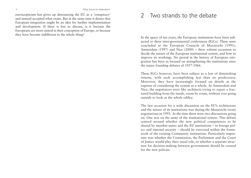euroscepticism has given up denouncing the EU as a 'conspiracy' and instead accepted what exists. But at the same time it denies that European integration might be an idea for further implementation and development. If there is less to discuss, is it because the Europeans are more united in their conception of Europe, or because they have become indifferent to the whole thing?

# 2 Two strands to the debate

In the space of ten years, the European institutions have been subjected to three inter-governmental conferences (IGCs). These were concluded at the European Councils of Maastricht (1991), Amsterdam (1997) and Nice (2000) – three solemn occasions to decide the nature of the European institutional system, and how to improve its workings. No period in the history of European integration has been as focused on strengthening the institutions since the major founding debates of 1957-1966.

These IGCs however, have been subject to a law of diminishing returns, with each accomplishing less than its predecessor. Moreover, they have increasingly focused on details at the expense of considering the system as a whole. At Amsterdam and Nice, the negotiators were like architects trying to repair a fractured building from the inside, room by room, without ever going outside to look at the whole edifice.

The last occasion for a wide discussion on the EU's architecture and the nature of its institutions was during the Maastricht treaty negotiations in 1991. At the time there were two discussions going on. One was on the unity of the institutional system. This debate centred around whether the new political competences to be shared by member-states and the EU institutions – in foreign policy and internal security – should be exercised within the framework of the existing Community institutions. Particularly important was whether the Commission, the Parliament and the Court of Justice would play their usual role, or whether a separate structure for decision-making between governments should be created for the new policies.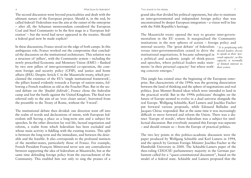#### Two strands to the debate 7

grand idea that divided his political opponents, but also to maintain an inter-governmental and independent foreign policy that was unconstrained by deeper European integration – a vision well in line with the Fifth Republic's heritage.

The Maastricht treaty opened the way to greater inter-governmentalism in the EU system. It marginalised the Community institutions in the new spheres of action – foreign policy and internal security. The 'great debate' of federalists *<sup>3</sup> It is perplexing why* versus inter-governmentalists ceased to drive the *elected leaders choose* institutional negotiations. It became submerged in a political and academic jungle of think-pieces and speeches, where political leaders make statements 'in their personal capacity' but where noth-*their voters.*ing concrete emerges.<sup>3</sup> *to speak in their 'personal capacity', as this capacity is normally of limited interest to*

This jungle has existed since the beginning of the European enterprise. But characteristic of the 1990s was the growing dissociation between the land of thinking and the sphere of negotiations and real politics. Jean Monnet floated ideas which were intended to land in the practical world. But in the 1990s politicians' thoughts on the future of Europe seemed to evolve in a dual universe alongside the real Europe. Wolfgang Schäuble, Karl Lamers and Joschka Fischer put forward various proposals, while Edouard Balladur and Jacques Chirac responded. But at the same time it was increasingly difficult to move forward and reform the Union. There was a distinct 'Europe of words', where federalism was a subject for intellectual discussion. But everybody assumed this Europe was separate – and should remain so – from the Europe of practical politics.

The two key points in this politico-academic discussion were the paper produced by Wolfgang Schäuble and Karl Lamers in 1994, and the speech by German Foreign Minister Joschka Fischer at the Humboldt University in 2000. The Schäuble-Lamers paper of the then-ruling CDU/CSU parliamentary majority in the German parliament called for a "quasi-constitutional document", based on the model of a federal state. Schäuble and Lamers proposed that the

The second discussion went beyond practicalities and dealt with the ultimate nature of the European project. Should it, in the end, be called federal? Federalism was the aim at the outset of the enterprise – after all, the Schuman memorandum considered the European Coal and Steel Community to be the first stage in a 'European federation' – but the word had never appeared in the treaties. Should a federal goal now be made explicit?

In these discussions, France stood on the edge of both camps. In this ambiguous role, France worked out the compromise that concluded the discussion on the institutional architecture. This solution was a structure of 'pillars', with the Community system – including the newly prescribed Economic and Monetary Union (EMU) – flanked by two new pillars of inter-governmental co-operation, the common foreign and security policy (CFSP), and justice and home affairs (JHA). Despite Article C in the Maastricht treaty, which proclaimed the existence of the EU's 'single institutional framework', the pillars leaned evidently towards a Europe of nation-states, following a French tradition as old as the Fouchet Plan. But in the second debate on the *'finalité fédérale'*, France chose the federalist camp and lost the battle against the United Kingdom. The final text referred only to the aim of an 'ever closer union', borrowed from the preamble to the Treaty of Rome, without the 'f-word'.

The institutional debate then divided: one direction went off into the realm of words and declarations of intent, with European federalism still having a place as a long-term aim and a subject for speeches. In the other direction lay real life, factual negotiation and reform, a realm from which federalism has been excluded and whose main activity is fiddling with the existing treaties. This split is between the long-term and the immediate, and between the desirable and the feasible. It also corresponds to the profound instincts of the member-states, particularly those of France. For example, French President François Mitterrand never saw any contradiction between supporting the idea of federalism at Maastricht, but at the same time defending foreign policy from the encroachment of the Community. This enabled him not only to sing the praises of a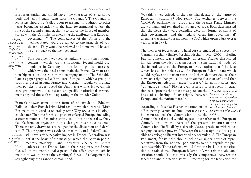8 What future for federalism?

European Parliament should have "the character of a legislative body and [enjoy] equal rights with the Council". The Council of Ministers should be "called upon to assume, in addition to other tasks belonging essentially to the inter-governmental sphere, the role of the second chamber, that is to say of the house of memberstates, with the Commission exercising the attributes of a European government."4 The competences of the Union and the member-states would be subject to the principle of subsidiarity. They would be reviewed and some would have to be given back to the member-states. *<sup>4</sup> Wolfgang Schäuble and Karl Lamers, 'Reflections on European*

This document was less remarkable for its institutional content – which was the traditional federal model predominant in Germany – than for its political message, which was the need to maintain the Franco-German rela-*Policy'. Bonn: CDU/CSU Group in the Bundestag,*

tionship in a leading role in the enlarging union. The Schäuble-Lamers paper proposed a 'hard core' Europe, in which a group of countries based around France and Germany would co-ordinate their policies in order to lead the Union as a whole. However, this core grouping would not establish specific institutional arrangements beyond those already operating in the broader Union.

France's answer came in the form of an article by Edouard Balladur – then French Prime Minister – in which he wrote: "Must Europe move towards a federal system? Why revive this ideological debate? The time for this is past: an enlarged Europe, including a greater number of member-states, could not be federal ... Only flexible forms of organisation in such a group can be considered. There are only drawbacks to re-opening the discussion on federalism."<sup>5</sup> This response was evidence that the word 'federal' could still have a very negative impact in France. Federalism was not at the heart of the message, which the German parliamentary majority – and, indirectly, Chancellor Helmut Kohl – addressed to France. But in their response, the French focused on the institutional aspects of the offer, even though its main aim was to resist the centrifugal forces of enlargement by strengthening the Franco-German bond. *<sup>5</sup> Le Monde, November 30t<sup>h</sup> 1994.*

Two strands to the debate 9

Was this a new episode in the perennial debate on the nature of European institutions? Not really. The exchange between the CDU/CSU parliamentary group and the French Prime Minister drew a blank and remained an isolated episode. Both sides insisted that the views they were defending were not formal positions of their governments, and the 'federal versus inter-governmental' dilemma was largely absent from the IGC which opened just over a year later in 1996.

The themes of federation and hard core re-emerged in a speech by German Foreign Minister Joschka Fischer in May 2000 in Berlin. But its content was significantly different. Fischer dissociated himself from the idea of transposing the institutional model of the federal state to the European level, stating that "the idea which has so far held sway, of a European federal state which would replace the nation-states and their democracies as their new sovereign, has proved to be an artificial construct"; and that the European federation must "preserve" its nation-states, not "downgrade them." Fischer even referred to European integration as a "process that must take place on the *<sup>6</sup> Joschka Fischer, 'Vom* basis of a sharing of sovereignty between *Staatenverbund zur* Europe and the nation-state."6

According to Joschka Fischer, the functions of a European government should not necessarily *University, Berlin, May 12t<sup>h</sup>* be entrusted to the Commission – as the *2000.*

*Föderation – Gedanken über die Finalität der europäischen Integration', speech to the Humboldt*

German federal model would suggest – but rather to the European Council, or, "on the basis of the present structure of the Commission, [fulfilled] by a directly elected president with wideranging executive powers." Between these two options, "it is possible to envisage different intermediary formulae ." The European Parliament, for its part, should include an upper house of representatives from the national parliaments to sit alongside the present assembly. These reforms would form the basis of a constitution to establish the "European federation", wherein the said constitution should "allocate precisely the competences between the federation and the nation-states ... reserving for the federation the

*1994.*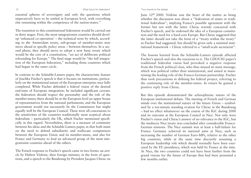#### Two strands to the debate 11

#### 10 What future for federalism?

essential spheres of sovereignty and only the questions which imperatively have to be settled at European level, with everything else remaining within the competence of the nation-states."

The transition to this constitutional federation would be carried out in three stages. First, the most integrationist countries should develop 'enhanced co-operation' – the technical term by which, according to the Amsterdam treaty, sub-groups of member-states may move ahead in specific policy areas – between themselves. In a second phase, they should move to adopt a new basic treaty which would be the core of a constitution, "an act of deliberate political refounding for Europe." The final stage would be "the full integration of the European federation," including those countries which had begun in the outer circle.

In contrast to the Schäuble-Lamers paper, the characteristic feature of Joschka Fischer's speech is that it focuses on institutions, particularly on the institutional nature of the European enterprise once fully completed. While Fischer defended a federal vision of the desired end-state of European integration, he included significant caveats: the federation should respect the personality and the role of the member-states; there should be at the European level an upper house of representatives from the national parliaments; and the European government would not necessarily be the Commission but might equally well be the European Council. These were all concessions to the sensitivities of the countries traditionally most sceptical about federalism – particularly the UK, which Fischer mentioned specifically in this regard. Nevertheless, there is a measure of continuity between his ideas and the Schäuble-Lamers paper, in that both insist on the need to defend subsidiarity and reallocate competences between the European Union and its member-states, and also for France and Germany to lead an advanced group of the most integrationist countries ahead of the others.

The French response to Fischer's speech came in two forms: an article by Hubert Védrine, then foreign minister, in the form of questions, and a speech to the Bundestag by President Jacques Chirac on

June 12th 2000. Védrine saw the heart of the matter as being whether the discussion was about a "federation of states or traditional federalism", implying France's possible agreement with the former but not with the latter. Chirac warmly concurred with Fischer's speech, and he endorsed the idea of a European constitution and the need for a hard core Europe. But Chirac suggested that the latter should not take the form of a "treaty within the treaty" as Fischer had suggested, but should be given only a minimal institutional framework – Chirac referred to a "small-scale secretariat".

The lessons learned from the Schäuble-Lamers episode affected Fischer's speech and also the reactions to it. The CDU/CSU paper's traditional federalist vision had provoked a negative response from the French political class, who thus missed its main message, which was political rather than institutional, and aimed at maintaining the leading role of the Franco-German partnership. Fischer thus took precautions in defining his federal project, referring to the continuing role of the member-states. In return he gained a positive reply from Chirac.

But this episode demonstrated the schizophrenic nature of the European institutional debate. The meeting of French and German minds over the institutional nature of the future Union – symbolised by a ten-minute standing ovation for Chirac in the Bundestag – had no effect whatsoever on the course of the IGC during 2000 and its outcome at the European Council in Nice. Not only were Fischer's vision and Chirac's answer of no relevance to the IGC, but the mediocre Nice treaty was concluded after considerable Franco-German tensions. The Nice summit was at least a half-failure for France: Germany achieved its national aims at Nice, such as increasing the number of German Euro-MPs, relative to the other big countries, while at the same time discreetly assuming a European leadership role which should normally have been exercised by the EU presidency, which was held by France at the time. At Nice, the two countries could not have been further from the grand visions for the future of Europe that had been presented a few months earlier.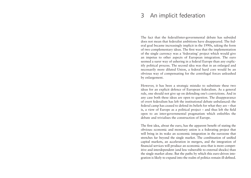# 3 An implicit federation

The fact that the federal/inter-governmental debate has subsided does not mean that federalist ambitions have disappeared. The federal goal became increasingly implicit in the 1990s, taking the form of two complementary ideas. The first was that the implementation of the single currency was a 'federating' project which would give an impetus to other aspects of European integration. The euro seemed a surer way of ushering in a federal Europe than any explicitly political process. The second idea was that in an enlarged and necessarily more diluted Union, a federal hard core would be an obvious way of compensating for the centrifugal forces unleashed by enlargement.

However, it has been a strategic mistake to substitute these two ideas for an explicit defence of European federalism. As a general rule, one should not give up on defending one's convictions. And in any case both these ideas are open to question. The disappearance of overt federalism has left the institutional debate unbalanced: the federal camp has ceased to defend its beliefs for what they are – that is, a view of Europe as a political project – and thus left the field open to an inter-governmental pragmatism which enfeebles the debate and trivialises the construction of Europe.

The first idea, about the euro, has the apparent benefit of stating the obvious: economic and monetary union is a federating project that will bring in its wake an economic integration in the eurozone that stretches far beyond the single market. The combination of unified capital markets, an acceleration in mergers, and the integration of financial services will produce an economic area that is more competitive and interdependent (and less vulnerable to external shocks) than the single market alone. But the paths by which this euro-driven integration is likely to expand into the realm of politics remain ill-defined.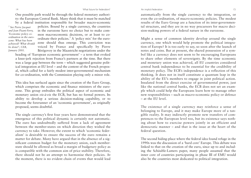#### An implicit federation 15

automatically from the single currency to the integration, or even the co-ordination, of macro-economic policies. The modest results of the Euro Group are a function of its inter-governmental structure, and they are in no way precursors for macro decision-making powers of a federal nature in the eurozone.

Might a sense of common identity develop around the single currency, one which would help promote the political integration of Europe? It is too early to say, so soon after the launch of notes and coins. But at present, the shared possession of a symbol like a currency does not seem to be encouraging Europeans to share other elements of sovereignty. By the time economic and monetary union was achieved, all EU countries considered central bank independence to be essential for the credibility of monetary policy. The ECB's independence is a reflection of this thinking. It does not in itself constitute a quantum leap in the ability of the EU's members to engage in joint political action. Insulated from the direct exercise of governmental power, just like the national central banks, the ECB does not set an exam<sup>p</sup>le which could help the Europeans learn how to manage other new responsibilities – such as macro-economic policy or defence – at the EU level.

The existence of a single currency may reinforce a sense of belonging to Europe, and it may make Europe more of a tangible reality. It may indirectly promote new transfers of competences to the European level too, but its existence says nothing about how to exercise powers jointly in an efficient and democratic manner – and that is the issue at the heart of the federal question.

The second hiding-place where the federal idea found refuge in the 1990s was the discussion of a 'hard core' Europe. This debate was linked to that on the creation of the euro, since up to and including the Schäuble-Lamers paper, many people assumed that the inner core of countries participating in phase III of EMU would also be the countries most dedicated to political integration.

One possible path would be through the federal monetary authority: the European Central Bank. Many think that it must be matched

*<sup>7</sup> See Pierre Jacquet and Jean Pisani-Ferry, 'Economic policy coordination in the eurozone: What has been achieved? What should be done?', CER, January 2001.*

by a federal institution responsible for broader macro-economic policies. Bound by a single currency, the countries in the eurozone have no choice but to make common macroeconomic decisions, or at least to coordinate their policies.7 A 'policy mix' for the eurozone should thus emerge. This conviction was voiced by France and specifically by Pierre Bérégovoy in the Maastricht negotiations under the

heading of 'European economic government' – a term that evoked a knee-jerk rejection from France's partners at the time. But there was a large gap between the term – which suggested genuine political integration at EU level – and the content of the French proposal, which called for a fairly modest inter-governmental mechanism for co-ordination, with the Commission playing only a minor role.

This idea has surfaced again since the creation of the Euro Group, which comprises the economic and finance ministers of the eurozone. This group embodies the political aspect of economic and monetary union *vis-à-vis* the ECB, but has no formal powers. Its ability to develop a serious decision-making capability, or to become the forerunner of an 'economic government', as originally proposed, seems doubtful.

The single currency's first four years have demonstrated that the emergence of this political dynamic is certainly not automatic. The euro has undoubtedly suffered from a lack of agreement between the member-states on which direction they wished the currency to take. However, the extent to which 'economic federalism' is desirable to ensure the success of the euro remains a matter for debate. Many have argued that in the absence of a significant common budget for the monetary union, each memberstate should be allowed as broad a margin of budgetary policy as is compatible with the common aim of price stability. Therefore, there should not be an attempt to harmonise their policies. At the moment, there is no evident chain of events that would lead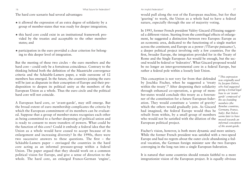#### An implicit federation? 17

#### 16 What future for federalism?

The hard core scenario had several advantages:

- ★ it allowed the expression of an extra degree of solidarity by a group of member-states that was ready for deeper integration;
- ★ this hard core could exist in an institutional framework provided by the treaties and acceptable to the other memberstates; and
- $\star$  participation in the euro provided a clear criterion for belonging to this deeper level of integration.

But the meeting of these two circles – the euro members and the hard core – could only be a fortuitous coincidence. Contrary to the thinking behind both the definition of the Maastricht convergence criteria and the Schäuble-Lamers paper, a wide eurozone of 12 members has emerged. In the future, the countries joining the euro will be just as disparate in their conception of Europe and their predisposition to deepen its political unity as the members of the European Union as a whole. Thus the euro circle and the political hard core will not coincide.

A European hard core, or 'avant-garde', may still emerge. But the broad extent of euro membership complicates the criteria by which the European commitment of its members can be evaluated. Suppose that a group of member-states recognises each other as being committed to a further deepening of political union and is ready to consent to more transfers of powers. What could be the function of this core? Could it embody a federal idea that the Union as a whole would have ceased to accept because of its enlargement and increasing diversity? In the 1990s, there were two successive answers to these questions. The first – the Schäuble-Lamers paper – envisaged the countries in the hard core acting as an informal pressure-group within a federal Union. The paper argued that they should work on a common political vision for Europe, and give a sense of direction to the whole. The hard core, an enlarged Franco-German 'engine', would pull along the rest of the European machine, but for that 'gearing' to work, the Union as a whole had to have a federal nature, especially through the use of majority voting.

In 1995, former French president Valéry Giscard d'Estaing suggested a different vision. Starting from the centrifugal effects of enlargement, he suggested a distinction between two Europes: Europe as an economic area, dedicated to the functioning of a single market across the continent; and Europe as a power *('l'Europe puissance')*, a deeper political project involving only a few countries. For the first, broader Europe, the integration provided for in the Treaty of Rome and the Single European Act would be enough, but the second would be federal or 'federative'. What Giscard proposed would be no longer an inter-governmental core in a federal Europe, but rather a federal pole within a loosely knit Union.

This conception is not very far from that defended by Joschka Fischer, when he suggested a 'treaty within the treaty'.<sup>8</sup> After deepening their solidarity through enhanced co-operation, a group of member-states would conclude this treaty as a forerunner of the constitution for a future European federation. They would constitute a 'centre of gravity' which the others would gradually join. As Giscard *Benelux countries,* had imagined, the federal Europe would thus be rebuilt from within, by a small group of members who would not be satisfied with the dilution of the *moved towards an* European political project.

*<sup>8</sup> This expression was originally used by Jacques Delors, who had suggested <sup>g</sup>iving a formal legal base to an 'avantgarde' composed of the six founding members (the Germany, France, Italy). But Delors seems later to have informal conception of the avant-garde.*

Fischer's vision, however, is both more dynamic and more unitary. While the former French president was satisfied with a two-speed Europe and had no regrets about the outer circle abandoning a federal vocation, the German foreign minister saw the two Europes converging in the long run into a single European federation.

It is natural that some countries should remain faithful to a more integrationist vision of the European project. It is equally obvious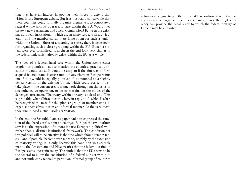that they have an interest in pooling their forces to defend that vision in the European debate. But it is not really conceivable that these countries could formally organise themselves, to constitute a federal whole with its own treaty base within the EU. Would they create a new Parliament and a new Commission? Between the existing European institutions – which are in many respects already federal – and the member-states, there is no room for such a 'union within the Union'. Short of a merging of states, there is little room for organising such a closer grouping within the EU. If such a system were ever formalised, it might in the end look very similar to the federal link which already exists within the EU as a whole.

The idea of a federal hard core within the Union seems either utopian or pointless – not to mention the countless practical difficulties it would cause. It would be utopian if the aim was to form a quasi-federal state, because nobody anywhere in Europe wants one. But it would be equally pointless if it amounted to a slightly denser version of the existing Union, which could perfectly well take place in the current treaty framework through mechanisms of strengthened co-operation, or on its margins on the model of the Schengen agreement. The treaty within a treaty is a dead-end. This is probably what Chirac meant when, in reply to Joschka Fischer, he recognised the need for the 'pioneer group' of member-states to organise themselves, but in an informal manner. At the very most, they would need a small-scale secretariat.

In the end, the Schäuble-Lamers paper had best expressed the function of the 'hard core' within an enlarged Europe: the two authors saw it as the expression of a more intense European political will, rather than a distinct institutional framework. The condition for this political will to be effective is that the whole should remain federal, and if possible, become even more so, notably by the extension of majority voting. It is only because this condition was scarcely met by the Amsterdam and Nice treaties that the federal destiny of Europe seems uncertain today. The truth is that the EU seems to be too federal to allow the constitution of a federal sub-set within it, and not sufficiently federal to permit an informal group of countries

acting as an engine to pull the whole. When confronted with the rising waters of enlargement, neither the hard core nor the single currency can provide the Noah's ark to which the federal destiny of Europe may be entrusted.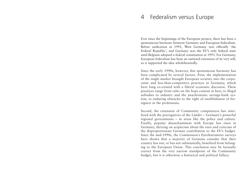# 4 Federalism versus Europe

Ever since the beginnings of the European project, there has been a spontaneous harmony between Germany and European federalism. Before unification in 1991, West Germany was officially 'the Federal Republic', and Germany was the EU's only federal state until Belgium adopted a federal constitution in 1993. For Germany, European federalism has been an outward extension of its very self, so it supported the idea wholeheartedly.

Since the early 1990s, however, this spontaneous harmony has been complicated by several factors. First, the implementation of the single market brought European scrutiny into the corporatist and less-than-competitive practices in Germany, which have long co-existed with a liberal economic discourse. These practices range from rules on the hops content in beer, to illegal subsidies to industry and the anachronistic savings-bank system, to enduring obstacles to the right of establishment of foreigners in the professions.

Second, the extension of Community competences has interfered with the prerogatives of the *Länder* – Germany's powerful regional governments – in areas like the police and culture. Finally, popular disenchantment with Europe has risen in Germany, thriving on scepticism about the euro and criticism of the disproportionate German contribution to the EU's budget. Since the mid-1990s, the Commission's Eurobarometer surveys have shown that a majority of Germans consider that their country has not, or has not substantially, benefited from belonging to the European Union. This conclusion may be factually correct from the very narrow standpoint of the Community budget, but it is otherwise a historical and political fallacy.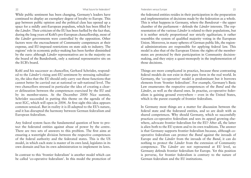#### Federalism versus Europe 23

22 What future for federalism?

While public sentiment has been changing, Germany's leaders have continued to display an exemplary degree of loyalty to Europe. This gap between public opinion and the political class has opened up a space for a mildly anti-European populism, which has been filled by the *Länder*. Their criticism of the EU has been fuelled by the fact that, during the long years of Kohl's pro-European chancellorship, most of the *Länder* governments were controlled by the opposition. Other factors were the encroachment of Community competences at their expense, and EU-imposed restrictions on state aids to industry. The regions' role in economic policy-making has been further diminished by the euro: although *Länder* representatives are in the majority on the board of the Bundesbank, only a national representative sits on the ECB's board.

Kohl and his successor as chancellor, Gerhard Schröder, responded to the *Länder's* rising anti-EU sentiment by stressing subsidiarity, the idea that the EU should only carry out those functions that cannot better be carried out at national or sub-national level. The two chancellors stressed in particular the idea of creating a clearer delineation between the competences exercised by the EU and by its member-states. At the December 2000 Nice summit, Schröder succeeded in putting this theme on the agenda of the next IGC, which will open in 2004. At first sight this idea appears common-sensical. But in reality it is ill-adapted to the EU's nature, and it has disrupted the harmony between German federalism and European federalism.

Any federal system faces the fundamental question of how to protect the federated entities against abuse of power by the centre. There are two sets of answers to this problem. The first aims at ensuring a watertight division between the respective competences of the federal authority and the federated states. This is the US model, in which each state is master of its own land, legislates in its own domain and has its own administration to implement its laws.

In contrast to this 'frontier federalism' is another model which can be called 'co-operative federalism'. In this model the protection of

the federated entities resides in their participation in the preparation and implementation of decisions made by the federation as a whole. This is what happens in Germany, where the *Bundesrat* – the upper chamber of the parliament – defends the *Länder* interests. The representation of the various *Länder* is related to their populations, but it is neither strictly proportional nor strictly egalitarian; it rather resembles the system of qualified majority voting in the European Union. Moreover, in many spheres of German public life, the regional administrations are responsible for applying federal law. This model is also that of the European Union: the rights of the memberstates are protected by their participation in Community decisionmaking, and they enjoy a quasi-monopoly in the implementation of those decisions.

Things are more complicated in practice, because these contrasting federal models do not exist in their pure form in the real world. In Germany, the 'co-operative' model is predominant but it borrows elements from 'frontier federalism'. For example, Germany's Basic Law enumerates the respective competences of the *Bund* and the *Länder*, as well as the shared ones. In practise, co-operative federalism is gaining ground everywhere – even in the United States, which is the purest example of frontier federalism.

In Germany most things are a matter for discussion between the federal state and the federated entities, and so are dealt with as shared competences. Why should Germany, which so successfully practices co-operative federalism and sees its appeal growing elsewhere, advocate frontier federalism for the EU? After all, the latter is alien both to the EU system and to its own traditions. The answer is that Germany supports frontier federalism because, although cooperative federalism can protect the *Bund* against the inroads of Europe and the *Länder* from the inroads of the *Bund*, it can do nothing to protect the *Länder* from the extension of Community competence. The *Länder* are not represented at EU level, so Germany defends frontier federalism for Europe. Yet this position is perverse, for frontier federalism is contrary to the nature of German federalism and the EU institutions.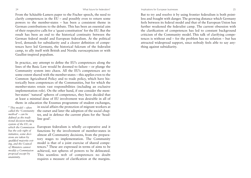From the Schäuble-Lamers paper to the Fischer speech, the need to clarify competences in the EU – and possibly even to return some powers to the member-states – has been a consistent theme in German contributions to the debate. This has been an essential aim of their respective calls for a 'quasi-constitution' for the EU. But the result has been an end to the historical continuity between the German federal model and European federalism. At the political level, demands for subsidiarity and a clearer definition of competences have led Germany, the historical fulcrum of the federalist camp, to ally itself with British and Nordic euroscepticism or with Gaullist-inspired populism.

In practice, any attempt to define the EU's competences along the lines of the Basic Law would be doomed to failure – or plunge the Community system into chaos. All the EU's competences are to some extent shared with the member-states – this applies even to the Common Agricultural Policy and to trade policy, which have historically been competences of the Communities, but for which the member-states retain vast responsibilities (including an exclusive implementation role). On the other hand, if one consider the member-states' 'natural' spheres of competence, they have decided that at least a minimal dose of EU involvement was desirable in all of them: in education the Erasmus programme of student exchanges,

*<sup>9</sup> This model – often called the 'Community method' – can be defined as the traditional decision-making system of the EU, in which the Commission has the sole right of initiative, some decisions are taken by qualified majority voting, and the Council of Ministers cannot modify a Commission proposal except by unanimity.*

in social affairs the protection of migrant workers at the outset and later the adoption of the social chapter, and in defence the current plans for the 'headline goal'.

European federalism is wholly co-operative and it functions by the involvement of member-states in almost all Community decisions, from the preparatory stages to implementation. The Community model is that of a joint exercise of shared competences.<sup>9</sup> These are expressed in terms of aims to be achieved, not spheres of powers to be delineated. This seamless web of competences no doubt requires a measure of clarification at the margins.

#### Implications for European businesses 25

But to try and resolve it by using frontier federalism is both pointless and fraught with danger. The growing distance which Germany feels between its federal model and that of the European Union has further weakened the federalist camp. The current obsession with the clarification of competences has led to constant background criticism of the Community model. This talk of clarifying competences is without end – for the problem has no solution – but has attracted widespread support, since nobody feels able to say anything against subsidiarity.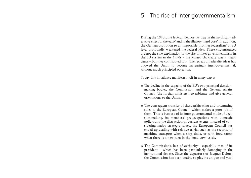# 5 The rise of inter-governmentalism

During the 1990s, the federal idea lost its way in the mythical 'federative effect of the euro' and in the illusory 'hard core'. In addition, the German aspiration to an impossible 'frontier federalism' at EU level profoundly weakened the federal idea. These circumstances are not the sole explanation of the rise of inter-governmentalism in the EU system in the 1990s – the Maastricht treaty was a major cause – but they contributed to it. The retreat of federalist ideas has allowed the Union to become increasingly inter-governmental, without much principled objection.

Today this imbalance manifests itself in many ways:

- $\star$  The decline in the capacity of the EU's two principal decisionmaking bodies, the Commission and the General Affairs Council (the foreign ministers), to arbitrate and give general orientations to the Union.
- $\star$  The consequent transfer of these arbitrating and orientating roles to the European Council, which makes a poor job of them. This is because of its inter-governmental mode of decision-making, its members' preoccupations with domestic policy, and the distraction of current events. Instead of considering major strategic issues, the European Council has ended up dealing with relative trivia, such as the security of maritime transport when a ship sinks, or with food safety when there is a new turn in the 'mad cow' crisis.
- $\star$  The Commission's loss of authority especially that of its president – which has been particularly damaging in the institutional debate. Since the departure of Jacques Delors, the Commission has been unable to play its unique and vital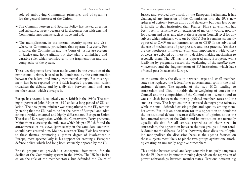#### The rise of inter-governmentalism 29

role of embodying Community principles and of speaking for the general interest of the Union.

- ★ The Common Foreign and Security Policy has lacked direction and substance, largely because of its disconnection with external Community instruments such as trade and aid.
- $\star$  The multiplication, in the internal security sphere and elsewhere, of Community procedures that operate *à la carte*. For instance, the Commission and the Court of Justice are present in justice and home affairs, but they play a diminished and variable role, which contributes to the fragmentation and the complexity of the system.

These developments have been made worse by the evolution of the institutional debate. It used to be dominated by the confrontation between the federal and inter-governmental camps. But this argument has been replaced by a British-inspired pragmatism, which trivialises the debate, and by a division between small and large member-states, which corrupts it.

Europe has become ideologically more British in the 1990s. The coming to power of John Major in 1990 ended a long period of UK isolation. The new prime minister was sympathetic to the EU, famously stating that the UK had to be "at the heart of Europe" and advocating a rapidly enlarged and highly differentiated European Union. The rise of Euroscepticism within the Conservative Party prevented Major from exercising the influence which his pro-EU shift and the attractiveness of his views (particularly in the candidate countries) should have ensured him. Major's successor Tony Blair has returned to these themes, promoting a greater degree of involvement in Europe, most spectacularly in his support for creating a European defence policy, which had long been staunchly opposed by the UK.

British pragmatism provided a conceptual framework for the decline of the Community system in the 1990s. The UK has insisted on the role of the member-states, but defended the Court of Justice and avoided any attack on the European Parliament. It has challenged any intrusion of the Commission into the EU's new spheres of action – foreign affairs and defence – but been less openly hostile to that institution than France. Blair's government has been open in principle to an extension of majority voting, notably for asylum and visas, and also at the European Council level for any subject which ministers vote on by QMV. But it remains staunchly opposed to QMV on tax harmonisation or CFSP. It has advocated the use of mechanisms of peer pressure and best practice. Yet these are the apotheosis of inter-governmental impotence: a wide variety of views are debated but there is no decision-making mechanism to reconcile them. The UK has thus appeared more European, while justifying by pragmatic reason the weakening of the *modèle communautaire* and the fragmentation of EU institutions which have afflicted post-Maastricht Europe.

At the same time, the division between large and small memberstates has replaced the federal/inter-governmental split in the institutional debate. The agenda of the two IGCs leading to Amsterdam and Nice – notably the re-weighting of votes in the Council and the composition of the Commission – were bound to cause a clash between the most populated member-states and the smallest ones. The large countries stressed demographic fairness, while the small defended existing rights and equality among member-states. But it is an aberration for this opposition to dominate the institutional debate, because differences of opinion about the fundamental nature of the Union and its institutions are normally equally divisive for all states, regardless of their size. In Amsterdam, the opposition between the two groups did not totally dominate the debates. At Nice, however, these divisions of opinion monopolised the discussion because the agenda focused on those subjects most likely to pit the two groups against one another, creating an unusually negative atmosphere.

This division between small and large countries is uniquely dangerous for the EU, because its smooth running depends on the repression of power relationships between member-states. Tensions between big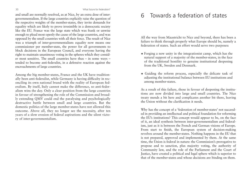and small are normally resolved, as at Nice, by an extra dose of intergovernmentalism. If the large countries explicitly raise the question of the respective weights of the member-states, they invite demands for equality which are likely to prove irresistible in a democratic society like the EU. France was the large state which was frank or unwise enough to plead most openly the cause of the large countries, and was opposed by the small countries with all their force. The result of Nice was a triumph of inter-governmentalism: equality now means one commissioner per member-state, the power for all governments to block decisions in the European Council, and everyone having the right to maintain unanimous voting in the spheres which they consider most sensitive. The small countries have thus – in some ways – tended to become anti-federalist, in a defensive reaction against the encroachments of large countries.

Among the big member-states, France and the UK have traditionally been anti-federalist, while Germany is having difficulty in reconciling its own national brand with the reality of European federalism. By itself, Italy cannot make the difference, so anti-federalism wins the day. Only a clear position from the large countries in favour of strengthening the role of the Commission and broadly extending QMV could end the paralysing and psychologically destructive battle between small and large countries. But the domestic politics of the large member-states have not allowed this outcome. Above all, they no longer see the necessity, after ten years of a slow erosion of federal aspirations and the silent victory of inter-governmentalism.

# 6 Towards a federation of states

All the way from Maastricht to Nice and beyond, there has been a failure to think through properly what Europe should be, namely a federation of states. Such an effort would serve two purposes:

- $\star$  Forging a new unity in the integrationist camp, which has the natural support of a majority of the member-states, in the face of the traditional hostility to genuine institutional deepening from the UK, Sweden and Denmark.
- ★ Guiding the reform process, especially the delicate task of adjusting the institutional balance between EU institutions and among member-states.

As a result of this failure, those in favour of deepening the institutions are now divided into large and small countries. The Nice treaty mends a bit here and complicates another bit there, leaving the Union without the clarification it needs.

Why has the concept of a 'federation of member-states' not succeeded in providing an intellectual and political foundation for reforming the EU's institutions? This concept would appear to be, on the face of it, an ideal synthesis between inter-governmentalism and federalism, just as it is between the French and German visions of Europe. From start to finish, the European system of decision-making revolves around the member-states. Nothing happens in the EU that is not prepared, approved and implemented by them. At the same time, the Union is federal in nature: the Commission's prerogative to propose and to sanction, plus majority voting, the authority of Community law, and the role of the Parliament and the Court of Justice, have created a political and legal sphere which is superior to that of the member-states and whose decisions are binding on them.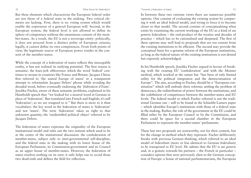Towards a federation of states 33

But these elements which characterise the European federal order are not those of a federal state in the making. Two critical elements are lacking. First, there is no voting system which would enable the expression of a general European will. Second, in the European system, the federal level is not allowed to define its sphere of competence without the unanimous consent of the member-states. As a result, the EU is not a sovereign entity: politically, it does not proceed from a distinct polity of European citizens; legally, it cannot define its own competences. From both points of view, the legitimate source of European power resides in the consent of the member-states.

While the concept of a federation of states reflects this inescapable reality, it has not realised its unifying potential. The first reason is semantic: the knee-jerk abhorrence which the word 'federal' continues to arouse in countries like France and Britain. Jacques Chirac first referred to 'the united Europe of states' in a transparent attempt to reformulate Jacques Delors' phrase while avoiding the dreaded word, before eventually endorsing the *'fédération d'Etats'*. Joschka Fischer, aware of these semantic problems, explained in his Humboldt speech that "we looked for a neutral word in German in <sup>p</sup>lace of 'federation'. But translated into French and English, it's still 'federation'; so we are resigned to it." But there is more to it than vocabulary: the key word in the federation of states is 'federation' and not 'states'. The term 'federation' takes us right to that unknown quantity, the 'unidentified political object' referred to by Jacques Delors.

The federation of states expresses the originality of the European institutional model and rules out the two notions which used to be at the centre of the institutional discussion: the confederation of member-states, subject only to inter-governmental self-discipline, and the federal state in the making with its lower house of the European Parliament, its Commission-government and its Council as an upper house of member-states. However, the federation of states resolves nothing on its own: it only helps one to avoid those two dead-ends and defines the field for reflection.

In between these two extreme views there are numerous possible options. One consists of evaluating the existing system by comparing it with an ideal federal model, and trying to force it to become closer to that model. The second consists of conceptualising what exists by examining the current workings of the EU as a kind of *sui generis* federalism – the end-product of the treaties and decades of practice – which has to be rationalised and deepened. The first of these options may well lead to proposals that are too remote from the existing institutions to be efficient. The second may provide the conceptual basis for a genuine reform of the European institutions, as long as the federal nature of the existing institutions is not denied but expressly acknowledged.

In his Humboldt speech, Joschka Fischer argued in favour of breaking with the existing EU 'confederation' and with the Monnet method, which worked at the outset but "has been of only limited utility for the political integration and the democratisation of Europe". The aim, according to Fischer, should be a "European constitution" which will embody three reforms: settling the problem of democracy, the redistribution of power between the institutions, and the redefinition of competences between the member-states and EU levels. The federal model to which Fischer referred is not the traditional German one – still to be found in the Schäuble-Lamers paper – which identifies Europe's institutions with those of a federal state in the making. Rather, the role of the government in the EU could be filled either by the European Council or by the Commission, and there could be space for a second chamber in the European Parliament to represent the member-states' parliaments.

These last two proposals are noteworthy, not for their content, but for the change in method which they represent. Fischer deliberately breaks with previous German thinking, which referred to an ideal model of federalism (more or less identical to German federalism) to be transposed to EU level. He admits that the EU is *sui generis* and, in a gesture towards his partners – the French in particular – considers options that were previously alien to the German conception of Europe: a house of national parliamentarians, the European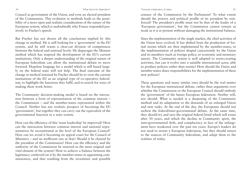#### Towards a federation of states 35

34 What future for federalism?

Council as government of the Union, and even an elected president of the Commission. This evolution in methods leads to the possibility of a more open and realistic consideration of the nature of the European system, which is undoubtedly why France responded positively to Fischer's speech.

But Fischer has not drawn all the conclusions implied by this change in method. He is still looking for a 'government' in the EU system, and he still wants a clear-cut division of competences between the federal and national levels. He disparages the Monnet method which has inspired the development of the EU's current institutions. Only a deeper understanding of the original nature of European federalism can allow the institutional debate to move forward. Hopeless longings for a model which is still based largely on the federal state will not help. The final outcome of the change in method initiated by Fischer should be to view the current institutions of the EU as an original type of co-operative federalism, to highlight the functions they fulfil, and to search for ways of making them work better.

The Community decision-making model is based on the interaction between a form of representation of the common interest – the Commission – and the member-states represented within the Council. Neither has any realistic prospect of becoming the EU 'government', but together they can carry out the equivalent of the governmental function in a state system.

How can the efficiency of this 'team leadership' be improved? How can the interaction between common interest and national representatives be reconstituted at the level of the European Council? How can we avoid it becoming an appeal court for the Council of Ministers – and an inefficient one at that? Should it be chaired by the president of the Commission? How can the efficiency and the authority of the Commission be restored as the most original and vital element of the system? How to achieve a balance between the legitimacy conferred on it by the member-states in appointing commissioners, and that resulting from the investiture and possible

censure of the Commission by the Parliament? To what extent should the powers and political profile of its president be reinforced? The president's profile must not be that of the leader of a 'European government', but the Commission cannot remain as weak as it is at present without damaging the institutional balance.

Since the implementation of the single market, the chief activities of the Union have evolved. It has shifted from the production of formal norms which are then implemented by the member-states, to the implementation of policies shaped concurrently by the Union and its members (such as foreign policy, or economic and monetary union). The Community system is well adapted to norm-creating activities, but can it evolve into a suitable international actor, able to produce policies rather than norms? How should the Union and member-states share responsibilities for the implementation of these new policies?

These questions and many similar ones should be the real matter for the European institutional debate, rather than arguments over whether the Commission or the European Council should embody the 'government' of the future European federation. Neither will, nor should. What is needed is a deepening of the Community method and its adaptation to the demands of an enlarged Union and new tasks. At the end of the day, the Europeans should not eschew the federal/inter-governmental debate. At the same time, they should try and save the original federal bond which still exists after 50 years, and which the decline in Community spirit, the inter-governmental drift, and complacency in face of the enlargement have weakened over the past ten years. Europe's leaders do not need to invent a European federation, but they should return to the sources of Community federalism, and adapt them to the realities of today.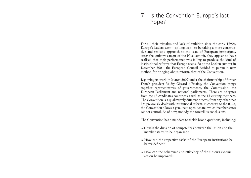# 7 Is the Convention Europe's last hope?

For all their mistakes and lack of ambition since the early 1990s, Europe's leaders seem – at long last – to be taking a more constructive and realistic approach to the issue of European institutions. After the embarrassment of the Nice summit, they appear to have realised that their performance was failing to produce the kind of institutional reforms that Europe needs. So at the Laeken summit in December 2001, the European Council decided to pursue a new method for bringing about reform, that of the Convention.

Beginning its work in March 2002 under the chairmanship of former French president Valéry Giscard d'Estaing, the Convention brings together representatives of governments, the Commission, the European Parliament and national parliaments. There are delegates from the 13 candidates countries as well as the 15 existing members. The Convention is a qualitatively different process from any other that has previously dealt with institutional reform. In contrast to the IGCs, the Convention allows a genuinely open debate, which member-states cannot control. As of now, nobody can foretell its conclusions.

The Convention has a mandate to tackle broad questions, including:

- ★ How is the division of competences between the Union and the member-states to be organised?
- ★ How can the respective tasks of the European institutions be better defined?
- ★ How can the coherence and efficiency of the Union's external action be improved?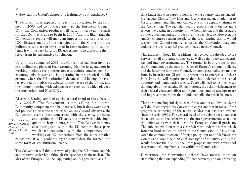Is the Convention Europe's last hope? 39

#### $\star$  How can the Union's democratic legitimacy be strengthened?

The Convention is expected to reach its conclusions by the summer of 2003 and to forward them to the European Council. What the Convention produces will certainly serve as the basis for the IGC that is due to begin in 2004. And it is likely that the Convention's report will make an impact on the results of that IGC. Because many of the participants in the Convention are politicians who are firmly rooted in their national political systems, it will be very hard for EU governments to dissociate themselves from its substantive conclusion.

Up until the summer of 2002, the Convention has been involved in a preliminary phase of brainstorming. Neither its agenda nor its working methods are pointing towards definite conclusions. But, encouragingly, it seems to be operating in the practical middle ground, where the EU institutional debate should belong. It has so far avoided both abstract debates on the nature of the Union, and the minute tinkering with existing treaty provisions which plagued the Amsterdam and Nice IGCs.

Giscard d'Estaing summed up the general trend of the debate in July 2002.10 The Convention is not calling for internal Community competences to be increased, but it does want external policies to be made more effective. As Giscard observes**,** the Convention seems more concerned with the clarity, efficiency and legitimacy of EU activities than with achieving a dernière chance de quantum leap in integration. The Convention may also distinguish, within the EU treaties, those parts which are concerned with the competences and workings of EU institutions from the more detailed *<sup>10</sup> 'La convention, l'Europe', Le Monde, 23r<sup>d</sup> July 2002.*

provisions. It will probably try to consolidate the former into some form of 'constitutional treaty'.

The Convention will think of ways of giving the EU a more credible and effective leadership, although the specifics remain unclear. The idea of the European Council appointing an 'EU president' as a fulltime leader has won support from some big-country leaders, including Jacques Chirac, Tony Blair and Jose María Aznar, in addition to Giscard himself and Giuliano Amato, one of the deputy chairmen of the Convention. The fact that such a proposition is on the table reflects the decline in authority of the Commission, and the progress of inter-governmentalist attitudes over the past decade. However, the smaller countries remain hostile to the idea, fearing that it would weaken the Commission. As a result, the Convention may not endorse the idea of an EU president, based in the Council.

This argument about EU presidents has revived the dreaded divide between small and large countries, as well as that between federalists and inter-governmentalists. The former in both groups favour the Commission as the natural leader of Europe's external policies, and the latter the European Council, or some personality emanating from it. In order for Giscard to prevent the re-emergence of these fault lines, he will require more than his undeniable intellectual authority and manipulative talents. There will need to be much clear thinking about the existing EU institutions, the acknowledgement of their federal character, albeit an original one, and an attempt to try and improve them rather than fundamentally alter their balance.

There are some hopeful signs, even if they are not all obvious. Some will doubtless regard the Convention as yet another instance of the progressive withering of the federalist idea that has been evident since the early 1990s. The general trend of the debate has so far seen the federalists on the defensive and the inter-governmentalists taking the initiative, as with their idea of a European Council president. The only contribution with a clear federalist undertone, that which Romano Prodi tabled on behalf of the Commission in May, advocated the communitisation of foreign policy (but not of defence): the Commission would gain an exclusive right of initiative, and QMV would become the rule. But the Prodi proposal met with a very cool reception, including from some within the Commission.

Furthermore, the Convention's debates have focused more on streamlining than on expanding EU competences, and on protecting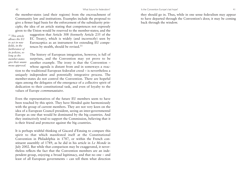Is the Convention Europe's last hope? 41

the member-states (and their regions) from the encroachment of Community law and institutions. Examples include the proposal to give a firmer legal basis for the enforcement of the subsidiarity principle; the idea of an article stating that competences not expressly <sup>g</sup>iven to the Union would be reserved to the member-states; and the

*<sup>11</sup> This article allows the EU to act in new fields, in the furtherance of its policies, so long as the member-states give their unanimous approval.*

suggestion that Article 308 (formerly Article 235 of the EC Treaty), which is widely (and incorrectly) seen by Eurosceptics as an instrument for extending EU competences by stealth, should be revised.<sup>11</sup>

The history of European integration, however, is full of surprises, and the Convention may yet prove to be another example. The irony is that the Convention – whose agenda is distant from and in someways a reac-

tion to the traditional European federalist creed – is nevertheless a uniquely independent and potentially integrative process. The member-states do not control the Convention. There are hopeful signs among the delegates of the emergence of a collective spirit of dedication to their constitutional task, and even of loyalty to the values of Europe *communautaire*.

Even the representatives of the future EU members seem to have been touched by this spirit. They have blended quite harmoniously with the group of current members. They are not very keen on the idea of a European Council president, seeing an inter-governmental Europe as one that would be dominated by the big countries. And they instinctively tend to support the Commission, believing that it is their friend and protector against the big countries.

It is perhaps wishful thinking of Giscard d'Estaing to compare this spirit to that which manifested itself at the Constitutional Convention in Philadelphia in 1787, or within the French constituent assembly of 1789, as he did in his article in *Le Monde* in July 2002. But while that comparison may be exaggerated, it nevertheless reflects the fact that the Convention members are an independent group, enjoying a broad legitimacy, and that no one – and least of all European governments – can tell them what direction they should go in. Thus, while in one sense federalism may appear to have departed through the Convention's door, it may be coming back through the window.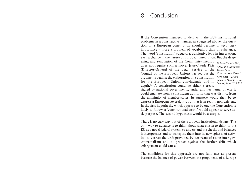# 8 Conclusion

If the Convention manages to deal with the EU's institutional problems in a constructive manner, as suggested above, the question of a European constitution should become of secondary importance – more a problem of vocabulary than of substance. The word 'constitution' suggests a qualitative leap in integration, even a change in the nature of European integration. But the deep-

ening and renovation of the Community method does not require such a move. Jean-Claude Piris (Director-General of the Legal Service of the Council of the European Union) has set out the *Constitution? Does it* arguments against the elaboration of a constitution for the European Union, convincingly and in depth.12 A constitution could be either a treaty

*<sup>12</sup> Jean-Claude Piris, 'Does the European Union have a need one?', lecture <sup>g</sup>iven to Harvard Law School, May 3r<sup>d</sup> 1999.* 

signed by national governments, under another name, or else it could emanate from a constituent authority that was distinct from the unanimity of member-states. Its purpose would then be to express a European sovereignty, but that is in reality non-existent. In the first hypothesis, which appears to be one the Convention is likely to follow, a 'constitutional treaty' would appear to serve little purpose. The second hypothesis would be a utopia.

There is no easy way out of the European institutional debate. The only way to advance is to think about what exists; to think of the EU as a novel federal system; to understand the checks and balances it incorporates and to transpose them into its new spheres of activity; to correct the drift provoked by ten years of rising inter-governmentalism; and to protect against the further drift which enlargement could cause.

The conditions for this approach are not fully met at present because the balance of power between the proponents of a Europe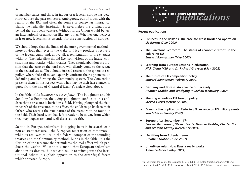#### 44 What future for federalism?

of member-states and those in favour of a federal Europe has deteriorated over the past ten years. Ambiguous, out of touch with the reality of the EU, and often the source of somewhat impractical <sup>p</sup>lans, the federalist inspiration is nevertheless the driving force behind the European venture. Without it, the Union would be just an international organisation like any other. Whether one believes in it or not, federalism is essential for the construction of Europe.

We should hope that the limits of the inter-governmental method – more obvious than ever in the wake of Nice – produce a recovery of the federal camp and, above all, a reorientation of the energies within it. The federalists should flee from visions of the future, constitutions and treaties within treaties. They should abandon the illusion that the euro or the hard core will silently come to the rescue of the federal cause. They should instead return to the sphere of real policy, where federalists can squarely confront their opponents on defending and reforming the Community system. The Convention presents them in this respect with what may be their last chance, to quote from the title of Giscard d'Estaing's article cited above.

In the fable of *Le laboureur et ses enfants*, (The Poughman and his Sons) by La Fontaine, the dying ploughman confides to his children that a treasure is buried in a field. Having ploughed the field in search of the treasure, to no effect, the children go back to their father, who reveals the true nature of the treasure to be found in the field. Their hard work has left it ready to be sown, from which they may expect real and well-deserved wealth.

So too in Europe, federalism is digging in vain in search of a non-existent treasure – the European federation of tomorrow – while its real wealth lies in the federal compost of the founding treaties and the Community method. But as in the fable, it is the illusion of the treasure that stimulates the real effort which produces the wealth. We cannot demand that European federalism abandon its dreams, but we can ask it to reinvigorate the institutional debate in explicit opposition to the centrifugal forces which threaten Europe.

★



**Recent publications**

- ★ **Business in the Balkans: The case for cross-border co-operation** *Liz Barrett (July 2002)*
- ★ **The Barcelona Scorecard: The status of economic reform in the enlarging EU** *Edward Bannerman (May 2002***)**
- ★ **Learning from Europe: Lessons in education** *Nick Clegg MEP and Dr Richard Grayson (May 2002)*
- ★ **The future of EU competition policy** *Edward Bannerman (February 2002)*
- ★ **Germany and Britain: An alliance of necessity** *Heather Grabbe and Wolfgang Münchau (February 2002)*
- ★ **Shaping a credible EU foreign policy** *Steven Everts (February 2002)*
- ★ **Constructive duplication: Reducing EU reliance on US military assets** *Kori Schake (January 2002)*
- ★ **Europe after September 11th** *Edward Bannerman, Steven Everts, Heather Grabbe, Charles Grant and Alasdair Murray (December 2001)*
- ★ **Profiting from EU enlargement** *Heather Grabbe (June 2001)*
- ★ **Unwritten rules: How Russia really works** *Alena Ledeneva (May 2001)*